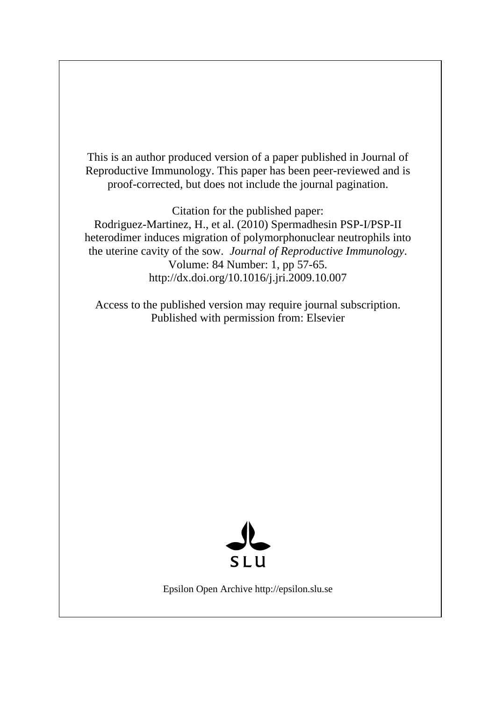This is an author produced version of a paper published in Journal of Reproductive Immunology. This paper has been peer-reviewed and is proof-corrected, but does not include the journal pagination.

Citation for the published paper:

Rodriguez-Martinez, H., et al. (2010) Spermadhesin PSP-I/PSP-II heterodimer induces migration of polymorphonuclear neutrophils into the uterine cavity of the sow. *Journal of Reproductive Immunology*. Volume: 84 Number: 1, pp 57-65. http://dx.doi.org/10.1016/j.jri.2009.10.007

Access to the published version may require journal subscription. Published with permission from: Elsevier



Epsilon Open Archive http://epsilon.slu.se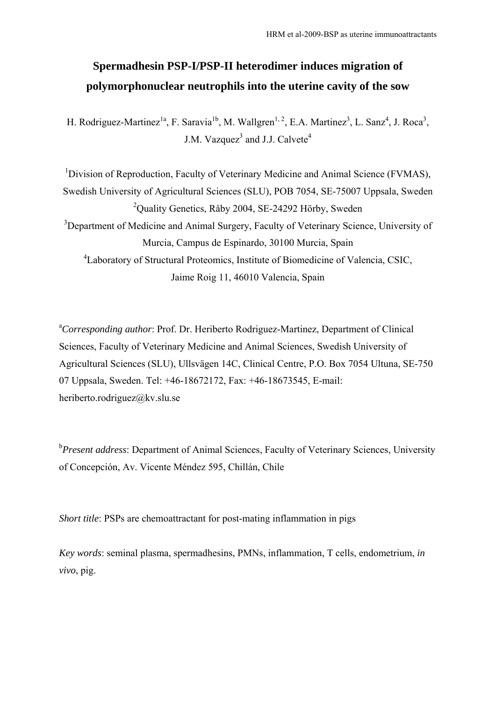# **Spermadhesin PSP-I/PSP-II heterodimer induces migration of polymorphonuclear neutrophils into the uterine cavity of the sow**

H. Rodriguez-Martinez<sup>1a</sup>, F. Saravia<sup>1b</sup>, M. Wallgren<sup>1, 2</sup>, E.A. Martinez<sup>3</sup>, L. Sanz<sup>4</sup>, J. Roca<sup>3</sup>, J.M. Vazquez<sup>3</sup> and J.J. Calvete<sup>4</sup>

<sup>1</sup>Division of Reproduction, Faculty of Veterinary Medicine and Animal Science (FVMAS), Swedish University of Agricultural Sciences (SLU), POB 7054, SE-75007 Uppsala, Sweden <sup>2</sup>Quality Genetics, Råby 2004, SE-24292 Hörby, Sweden <sup>3</sup>Department of Medicine and Animal Surgery, Faculty of Veterinary Science, University of Murcia, Campus de Espinardo, 30100 Murcia, Spain <sup>4</sup>Laboratory of Structural Proteomics, Institute of Biomedicine of Valencia, CSIC, Jaime Roig 11, 46010 Valencia, Spain

<sup>a</sup>Corresponding author: Prof. Dr. Heriberto Rodriguez-Martinez, Department of Clinical Sciences, Faculty of Veterinary Medicine and Animal Sciences, Swedish University of Agricultural Sciences (SLU), Ullsvägen 14C, Clinical Centre, P.O. Box 7054 Ultuna, SE-750 07 Uppsala, Sweden. Tel: +46-18672172, Fax: +46-18673545, E-mail: heriberto.rodriguez@kv.slu.se

<sup>b</sup>Present address: Department of Animal Sciences, Faculty of Veterinary Sciences, University of Concepción, Av. Vicente Méndez 595, Chillán, Chile

*Short title*: PSPs are chemoattractant for post-mating inflammation in pigs

*Key words*: seminal plasma, spermadhesins, PMNs, inflammation, T cells, endometrium, *in vivo*, pig.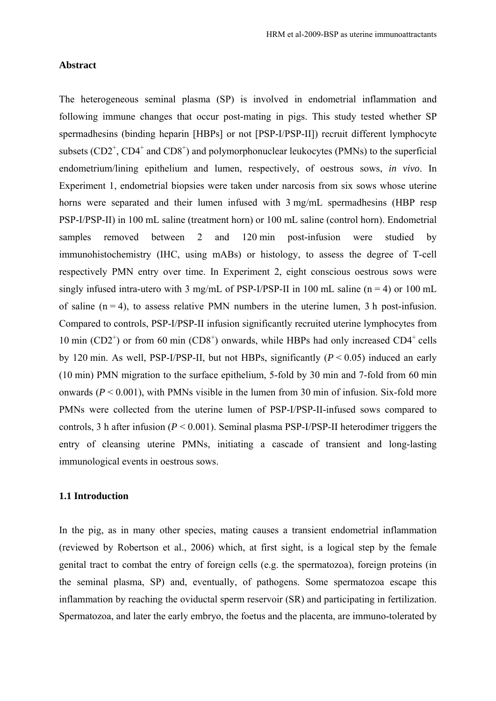# **Abstract**

The heterogeneous seminal plasma (SP) is involved in endometrial inflammation and following immune changes that occur post-mating in pigs. This study tested whether SP spermadhesins (binding heparin [HBPs] or not [PSP-I/PSP-II]) recruit different lymphocyte subsets  $(CD2^+, CD4^+)$  and  $CD8^+)$  and polymorphonuclear leukocytes (PMNs) to the superficial endometrium/lining epithelium and lumen, respectively, of oestrous sows, *in vivo*. In Experiment 1, endometrial biopsies were taken under narcosis from six sows whose uterine horns were separated and their lumen infused with 3 mg/mL spermadhesins (HBP resp PSP-I/PSP-II) in 100 mL saline (treatment horn) or 100 mL saline (control horn). Endometrial samples removed between 2 and 120 min post-infusion were studied by immunohistochemistry (IHC, using mABs) or histology, to assess the degree of T-cell respectively PMN entry over time. In Experiment 2, eight conscious oestrous sows were singly infused intra-utero with 3 mg/mL of PSP-I/PSP-II in 100 mL saline ( $n = 4$ ) or 100 mL of saline  $(n = 4)$ , to assess relative PMN numbers in the uterine lumen, 3 h post-infusion. Compared to controls, PSP-I/PSP-II infusion significantly recruited uterine lymphocytes from 10 min (CD2<sup>+</sup>) or from 60 min (CD8<sup>+</sup>) onwards, while HBPs had only increased CD4<sup>+</sup> cells by 120 min. As well, PSP-I/PSP-II, but not HBPs, significantly (*P* < 0.05) induced an early (10 min) PMN migration to the surface epithelium, 5-fold by 30 min and 7-fold from 60 min onwards  $(P < 0.001)$ , with PMNs visible in the lumen from 30 min of infusion. Six-fold more PMNs were collected from the uterine lumen of PSP-I/PSP-II-infused sows compared to controls, 3 h after infusion (*P* < 0.001). Seminal plasma PSP-I/PSP-II heterodimer triggers the entry of cleansing uterine PMNs, initiating a cascade of transient and long-lasting immunological events in oestrous sows.

# **1.1 Introduction**

In the pig, as in many other species, mating causes a transient endometrial inflammation (reviewed by Robertson et al., 2006) which, at first sight, is a logical step by the female genital tract to combat the entry of foreign cells (e.g. the spermatozoa), foreign proteins (in the seminal plasma, SP) and, eventually, of pathogens. Some spermatozoa escape this inflammation by reaching the oviductal sperm reservoir (SR) and participating in fertilization. Spermatozoa, and later the early embryo, the foetus and the placenta, are immuno-tolerated by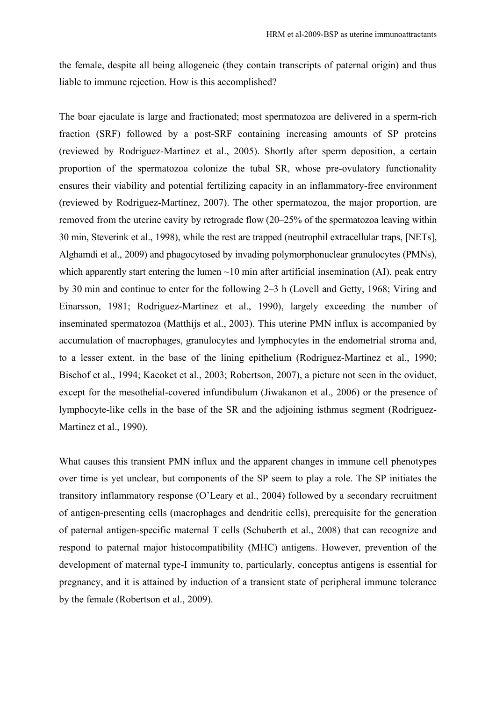the female, despite all being allogeneic (they contain transcripts of paternal origin) and thus liable to immune rejection. How is this accomplished?

The boar ejaculate is large and fractionated; most spermatozoa are delivered in a sperm-rich fraction (SRF) followed by a post-SRF containing increasing amounts of SP proteins (reviewed by Rodriguez-Martinez et al., 2005). Shortly after sperm deposition, a certain proportion of the spermatozoa colonize the tubal SR, whose pre-ovulatory functionality ensures their viability and potential fertilizing capacity in an inflammatory-free environment (reviewed by Rodriguez-Martinez, 2007). The other spermatozoa, the major proportion, are removed from the uterine cavity by retrograde flow (20–25% of the spermatozoa leaving within 30 min, Steverink et al., 1998), while the rest are trapped (neutrophil extracellular traps, [NETs], Alghamdi et al., 2009) and phagocytosed by invading polymorphonuclear granulocytes (PMNs), which apparently start entering the lumen  $\sim$ 10 min after artificial insemination (AI), peak entry by 30 min and continue to enter for the following 2–3 h (Lovell and Getty, 1968; Viring and Einarsson, 1981; Rodriguez-Martinez et al., 1990), largely exceeding the number of inseminated spermatozoa (Matthijs et al., 2003). This uterine PMN influx is accompanied by accumulation of macrophages, granulocytes and lymphocytes in the endometrial stroma and, to a lesser extent, in the base of the lining epithelium (Rodriguez-Martinez et al., 1990; Bischof et al., 1994; Kaeoket et al., 2003; Robertson, 2007), a picture not seen in the oviduct, except for the mesothelial-covered infundibulum (Jiwakanon et al., 2006) or the presence of lymphocyte-like cells in the base of the SR and the adjoining isthmus segment (Rodriguez-Martinez et al., 1990).

What causes this transient PMN influx and the apparent changes in immune cell phenotypes over time is yet unclear, but components of the SP seem to play a role. The SP initiates the transitory inflammatory response (O'Leary et al., 2004) followed by a secondary recruitment of antigen-presenting cells (macrophages and dendritic cells), prerequisite for the generation of paternal antigen-specific maternal T cells (Schuberth et al., 2008) that can recognize and respond to paternal major histocompatibility (MHC) antigens. However, prevention of the development of maternal type-I immunity to, particularly, conceptus antigens is essential for pregnancy, and it is attained by induction of a transient state of peripheral immune tolerance by the female (Robertson et al., 2009).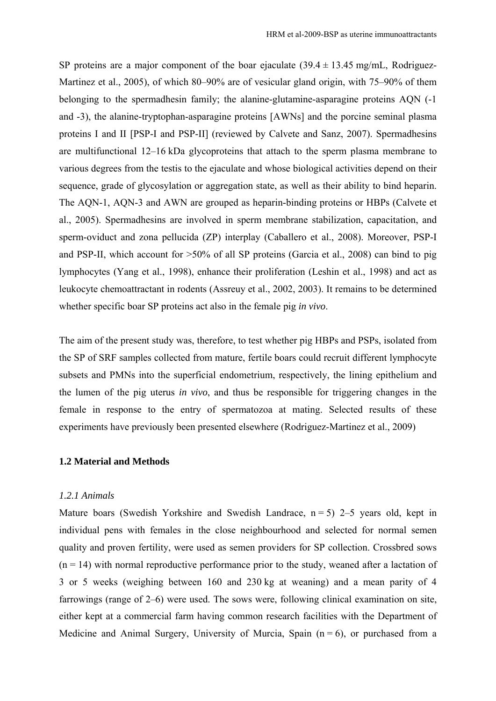SP proteins are a major component of the boar ejaculate  $(39.4 \pm 13.45 \text{ mg/mL}$ , Rodriguez-Martinez et al., 2005), of which 80–90% are of vesicular gland origin, with 75–90% of them belonging to the spermadhesin family; the alanine-glutamine-asparagine proteins AQN (-1 and -3), the alanine-tryptophan-asparagine proteins [AWNs] and the porcine seminal plasma proteins I and II [PSP-I and PSP-II] (reviewed by Calvete and Sanz, 2007). Spermadhesins are multifunctional 12–16 kDa glycoproteins that attach to the sperm plasma membrane to various degrees from the testis to the ejaculate and whose biological activities depend on their sequence, grade of glycosylation or aggregation state, as well as their ability to bind heparin. The AQN-1, AQN-3 and AWN are grouped as heparin-binding proteins or HBPs (Calvete et al., 2005). Spermadhesins are involved in sperm membrane stabilization, capacitation, and sperm-oviduct and zona pellucida (ZP) interplay (Caballero et al., 2008). Moreover, PSP-I and PSP-II, which account for >50% of all SP proteins (Garcia et al., 2008) can bind to pig lymphocytes (Yang et al., 1998), enhance their proliferation (Leshin et al., 1998) and act as leukocyte chemoattractant in rodents (Assreuy et al., 2002, 2003). It remains to be determined whether specific boar SP proteins act also in the female pig *in vivo*.

The aim of the present study was, therefore, to test whether pig HBPs and PSPs, isolated from the SP of SRF samples collected from mature, fertile boars could recruit different lymphocyte subsets and PMNs into the superficial endometrium, respectively, the lining epithelium and the lumen of the pig uterus *in vivo*, and thus be responsible for triggering changes in the female in response to the entry of spermatozoa at mating. Selected results of these experiments have previously been presented elsewhere (Rodriguez-Martinez et al., 2009)

### **1.2 Material and Methods**

# *1.2.1 Animals*

Mature boars (Swedish Yorkshire and Swedish Landrace,  $n = 5$ ) 2–5 years old, kept in individual pens with females in the close neighbourhood and selected for normal semen quality and proven fertility, were used as semen providers for SP collection. Crossbred sows  $(n = 14)$  with normal reproductive performance prior to the study, weaned after a lactation of 3 or 5 weeks (weighing between 160 and 230 kg at weaning) and a mean parity of 4 farrowings (range of 2–6) were used. The sows were, following clinical examination on site, either kept at a commercial farm having common research facilities with the Department of Medicine and Animal Surgery, University of Murcia, Spain  $(n = 6)$ , or purchased from a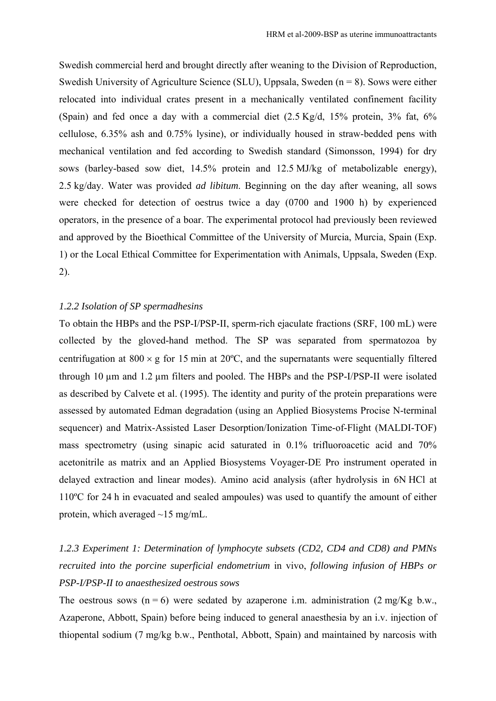Swedish commercial herd and brought directly after weaning to the Division of Reproduction, Swedish University of Agriculture Science (SLU), Uppsala, Sweden  $(n = 8)$ . Sows were either relocated into individual crates present in a mechanically ventilated confinement facility (Spain) and fed once a day with a commercial diet (2.5 Kg/d, 15% protein, 3% fat, 6% cellulose, 6.35% ash and 0.75% lysine), or individually housed in straw-bedded pens with mechanical ventilation and fed according to Swedish standard (Simonsson, 1994) for dry sows (barley-based sow diet, 14.5% protein and 12.5 MJ/kg of metabolizable energy), 2.5 kg/day. Water was provided *ad libitum*. Beginning on the day after weaning, all sows were checked for detection of oestrus twice a day (0700 and 1900 h) by experienced operators, in the presence of a boar. The experimental protocol had previously been reviewed and approved by the Bioethical Committee of the University of Murcia, Murcia, Spain (Exp. 1) or the Local Ethical Committee for Experimentation with Animals, Uppsala, Sweden (Exp. 2).

# *1.2.2 Isolation of SP spermadhesins*

To obtain the HBPs and the PSP-I/PSP-II, sperm-rich ejaculate fractions (SRF, 100 mL) were collected by the gloved-hand method. The SP was separated from spermatozoa by centrifugation at  $800 \times g$  for 15 min at 20 $^{\circ}$ C, and the supernatants were sequentially filtered through 10 µm and 1.2 µm filters and pooled. The HBPs and the PSP-I/PSP-II were isolated as described by Calvete et al. (1995). The identity and purity of the protein preparations were assessed by automated Edman degradation (using an Applied Biosystems Procise N-terminal sequencer) and Matrix-Assisted Laser Desorption/Ionization Time-of-Flight (MALDI-TOF) mass spectrometry (using sinapic acid saturated in 0.1% trifluoroacetic acid and 70% acetonitrile as matrix and an Applied Biosystems Voyager-DE Pro instrument operated in delayed extraction and linear modes). Amino acid analysis (after hydrolysis in 6N HCl at 110ºC for 24 h in evacuated and sealed ampoules) was used to quantify the amount of either protein, which averaged ~15 mg/mL.

# *1.2.3 Experiment 1: Determination of lymphocyte subsets (CD2, CD4 and CD8) and PMNs recruited into the porcine superficial endometrium* in vivo, *following infusion of HBPs or PSP-I/PSP-II to anaesthesized oestrous sows*

The oestrous sows  $(n = 6)$  were sedated by azaperone i.m. administration  $(2 \text{ mg/Kg b.w.})$ Azaperone, Abbott, Spain) before being induced to general anaesthesia by an i.v. injection of thiopental sodium (7 mg/kg b.w., Penthotal, Abbott, Spain) and maintained by narcosis with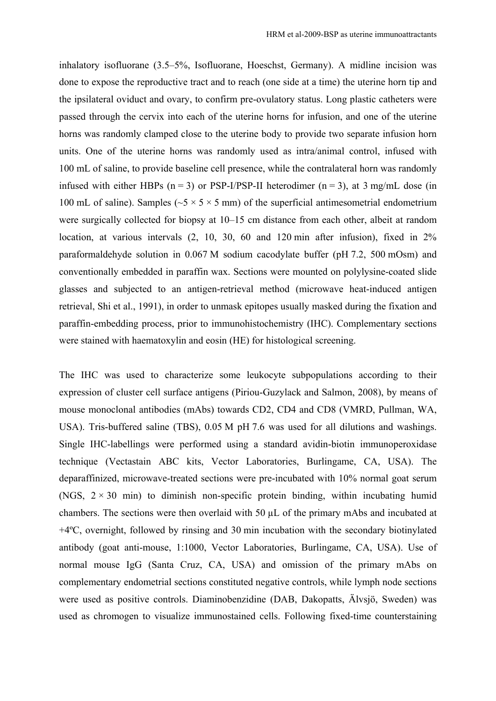inhalatory isofluorane (3.5–5%, Isofluorane, Hoeschst, Germany). A midline incision was done to expose the reproductive tract and to reach (one side at a time) the uterine horn tip and the ipsilateral oviduct and ovary, to confirm pre-ovulatory status. Long plastic catheters were passed through the cervix into each of the uterine horns for infusion, and one of the uterine horns was randomly clamped close to the uterine body to provide two separate infusion horn units. One of the uterine horns was randomly used as intra/animal control, infused with 100 mL of saline, to provide baseline cell presence, while the contralateral horn was randomly infused with either HBPs  $(n = 3)$  or PSP-I/PSP-II heterodimer  $(n = 3)$ , at 3 mg/mL dose (in 100 mL of saline). Samples ( $\sim$ 5  $\times$  5  $\times$  5 mm) of the superficial antimesometrial endometrium were surgically collected for biopsy at 10–15 cm distance from each other, albeit at random location, at various intervals  $(2, 10, 30, 60, 41, 120)$  min after infusion), fixed in  $2\%$ paraformaldehyde solution in 0.067 M sodium cacodylate buffer (pH 7.2, 500 mOsm) and conventionally embedded in paraffin wax. Sections were mounted on polylysine-coated slide glasses and subjected to an antigen-retrieval method (microwave heat-induced antigen retrieval, Shi et al., 1991), in order to unmask epitopes usually masked during the fixation and paraffin-embedding process, prior to immunohistochemistry (IHC). Complementary sections were stained with haematoxylin and eosin (HE) for histological screening.

The IHC was used to characterize some leukocyte subpopulations according to their expression of cluster cell surface antigens (Piriou-Guzylack and Salmon, 2008), by means of mouse monoclonal antibodies (mAbs) towards CD2, CD4 and CD8 (VMRD, Pullman, WA, USA). Tris-buffered saline (TBS), 0.05 M pH 7.6 was used for all dilutions and washings. Single IHC-labellings were performed using a standard avidin-biotin immunoperoxidase technique (Vectastain ABC kits, Vector Laboratories, Burlingame, CA, USA). The deparaffinized, microwave-treated sections were pre-incubated with 10% normal goat serum (NGS,  $2 \times 30$  min) to diminish non-specific protein binding, within incubating humid chambers. The sections were then overlaid with 50 µL of the primary mAbs and incubated at +4ºC, overnight, followed by rinsing and 30 min incubation with the secondary biotinylated antibody (goat anti-mouse, 1:1000, Vector Laboratories, Burlingame, CA, USA). Use of normal mouse IgG (Santa Cruz, CA, USA) and omission of the primary mAbs on complementary endometrial sections constituted negative controls, while lymph node sections were used as positive controls. Diaminobenzidine (DAB, Dakopatts, Älvsjö, Sweden) was used as chromogen to visualize immunostained cells. Following fixed-time counterstaining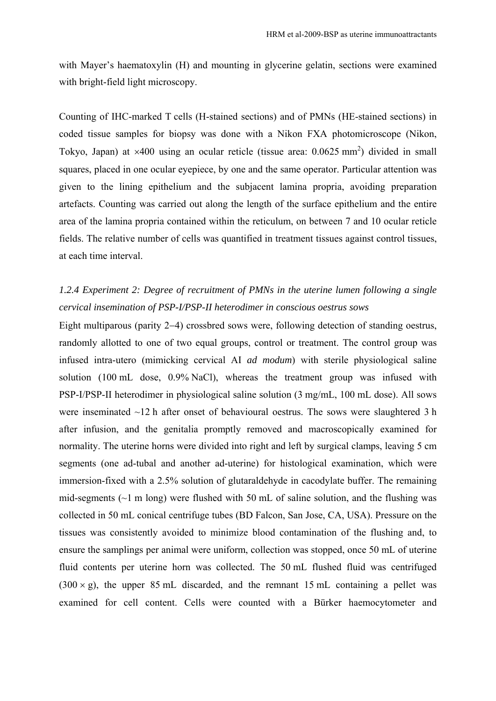with Mayer's haematoxylin (H) and mounting in glycerine gelatin, sections were examined with bright-field light microscopy.

Counting of IHC-marked T cells (H-stained sections) and of PMNs (HE-stained sections) in coded tissue samples for biopsy was done with a Nikon FXA photomicroscope (Nikon, Tokyo, Japan) at  $\times$ 400 using an ocular reticle (tissue area: 0.0625 mm<sup>2</sup>) divided in small squares, placed in one ocular eyepiece, by one and the same operator. Particular attention was given to the lining epithelium and the subjacent lamina propria, avoiding preparation artefacts. Counting was carried out along the length of the surface epithelium and the entire area of the lamina propria contained within the reticulum, on between 7 and 10 ocular reticle fields. The relative number of cells was quantified in treatment tissues against control tissues, at each time interval.

# *1.2.4 Experiment 2: Degree of recruitment of PMNs in the uterine lumen following a single cervical insemination of PSP-I/PSP-II heterodimer in conscious oestrus sows*

Eight multiparous (parity 2−4) crossbred sows were, following detection of standing oestrus, randomly allotted to one of two equal groups, control or treatment. The control group was infused intra-utero (mimicking cervical AI *ad modum*) with sterile physiological saline solution (100 mL dose, 0.9% NaCl), whereas the treatment group was infused with PSP-I/PSP-II heterodimer in physiological saline solution (3 mg/mL, 100 mL dose). All sows were inseminated ~12 h after onset of behavioural oestrus. The sows were slaughtered 3 h after infusion, and the genitalia promptly removed and macroscopically examined for normality. The uterine horns were divided into right and left by surgical clamps, leaving 5 cm segments (one ad-tubal and another ad-uterine) for histological examination, which were immersion-fixed with a 2.5% solution of glutaraldehyde in cacodylate buffer. The remaining mid-segments  $(\sim 1 \text{ m long})$  were flushed with 50 mL of saline solution, and the flushing was collected in 50 mL conical centrifuge tubes (BD Falcon, San Jose, CA, USA). Pressure on the tissues was consistently avoided to minimize blood contamination of the flushing and, to ensure the samplings per animal were uniform, collection was stopped, once 50 mL of uterine fluid contents per uterine horn was collected. The 50 mL flushed fluid was centrifuged  $(300 \times g)$ , the upper 85 mL discarded, and the remnant 15 mL containing a pellet was examined for cell content. Cells were counted with a Bürker haemocytometer and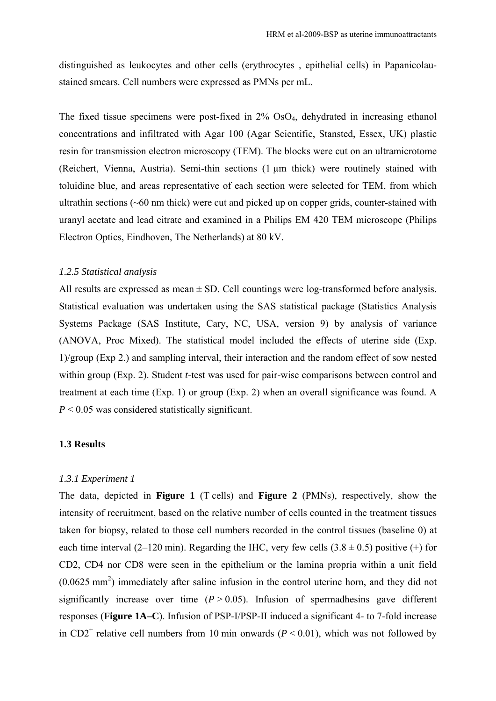distinguished as leukocytes and other cells (erythrocytes , epithelial cells) in Papanicolaustained smears. Cell numbers were expressed as PMNs per mL.

The fixed tissue specimens were post-fixed in 2% OsO4, dehydrated in increasing ethanol concentrations and infiltrated with Agar 100 (Agar Scientific, Stansted, Essex, UK) plastic resin for transmission electron microscopy (TEM). The blocks were cut on an ultramicrotome (Reichert, Vienna, Austria). Semi-thin sections (1 µm thick) were routinely stained with toluidine blue, and areas representative of each section were selected for TEM, from which ultrathin sections (~60 nm thick) were cut and picked up on copper grids, counter-stained with uranyl acetate and lead citrate and examined in a Philips EM 420 TEM microscope (Philips Electron Optics, Eindhoven, The Netherlands) at 80 kV.

# *1.2.5 Statistical analysis*

All results are expressed as mean  $\pm$  SD. Cell countings were log-transformed before analysis. Statistical evaluation was undertaken using the SAS statistical package (Statistics Analysis Systems Package (SAS Institute, Cary, NC, USA, version 9) by analysis of variance (ANOVA, Proc Mixed). The statistical model included the effects of uterine side (Exp. 1)/group (Exp 2.) and sampling interval, their interaction and the random effect of sow nested within group (Exp. 2). Student *t*-test was used for pair-wise comparisons between control and treatment at each time (Exp. 1) or group (Exp. 2) when an overall significance was found. A  $P < 0.05$  was considered statistically significant.

#### **1.3 Results**

### *1.3.1 Experiment 1*

The data, depicted in **Figure 1** (T cells) and **Figure 2** (PMNs), respectively, show the intensity of recruitment, based on the relative number of cells counted in the treatment tissues taken for biopsy, related to those cell numbers recorded in the control tissues (baseline 0) at each time interval (2–120 min). Regarding the IHC, very few cells  $(3.8 \pm 0.5)$  positive (+) for CD2, CD4 nor CD8 were seen in the epithelium or the lamina propria within a unit field  $(0.0625 \text{ mm}^2)$  immediately after saline infusion in the control uterine horn, and they did not significantly increase over time  $(P > 0.05)$ . Infusion of spermadhesins gave different responses (**Figure 1A–C**). Infusion of PSP-I/PSP-II induced a significant 4- to 7-fold increase in CD2<sup>+</sup> relative cell numbers from 10 min onwards ( $P < 0.01$ ), which was not followed by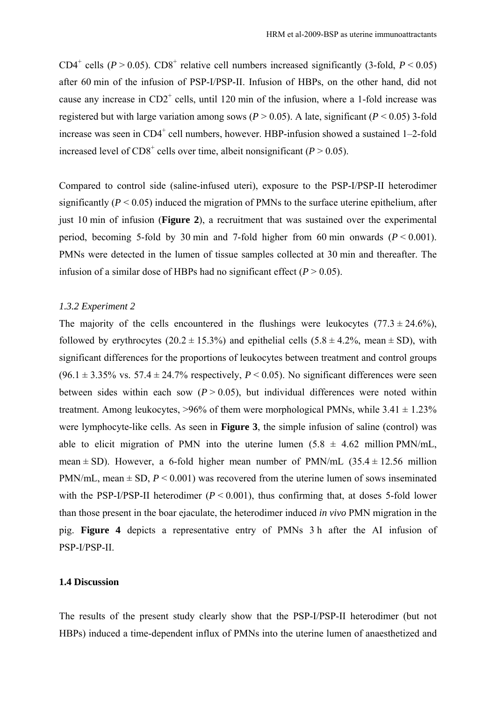CD4<sup>+</sup> cells ( $P > 0.05$ ). CD8<sup>+</sup> relative cell numbers increased significantly (3-fold,  $P < 0.05$ ) after 60 min of the infusion of PSP-I/PSP-II. Infusion of HBPs, on the other hand, did not cause any increase in  $CD2^+$  cells, until 120 min of the infusion, where a 1-fold increase was registered but with large variation among sows ( $P > 0.05$ ). A late, significant ( $P < 0.05$ ) 3-fold increase was seen in  $CD4^+$  cell numbers, however. HBP-infusion showed a sustained  $1-2$ -fold increased level of  $CD8^+$  cells over time, albeit nonsignificant ( $P > 0.05$ ).

Compared to control side (saline-infused uteri), exposure to the PSP-I/PSP-II heterodimer significantly  $(P < 0.05)$  induced the migration of PMNs to the surface uterine epithelium, after just 10 min of infusion (**Figure 2**), a recruitment that was sustained over the experimental period, becoming 5-fold by 30 min and 7-fold higher from 60 min onwards  $(P < 0.001)$ . PMNs were detected in the lumen of tissue samples collected at 30 min and thereafter. The infusion of a similar dose of HBPs had no significant effect  $(P > 0.05)$ .

### *1.3.2 Experiment 2*

The majority of the cells encountered in the flushings were leukocytes  $(77.3 \pm 24.6\%)$ , followed by erythrocytes  $(20.2 \pm 15.3\%)$  and epithelial cells  $(5.8 \pm 4.2\%)$ , mean  $\pm$  SD), with significant differences for the proportions of leukocytes between treatment and control groups (96.1  $\pm$  3.35% vs. 57.4  $\pm$  24.7% respectively, *P* < 0.05). No significant differences were seen between sides within each sow  $(P > 0.05)$ , but individual differences were noted within treatment. Among leukocytes,  $>96\%$  of them were morphological PMNs, while 3.41  $\pm$  1.23% were lymphocyte-like cells. As seen in **Figure 3**, the simple infusion of saline (control) was able to elicit migration of PMN into the uterine lumen  $(5.8 \pm 4.62 \text{ million PMN/mL})$ , mean  $\pm$  SD). However, a 6-fold higher mean number of PMN/mL (35.4  $\pm$  12.56 million PMN/mL, mean  $\pm$  SD,  $P \le 0.001$ ) was recovered from the uterine lumen of sows inseminated with the PSP-I/PSP-II heterodimer  $(P < 0.001)$ , thus confirming that, at doses 5-fold lower than those present in the boar ejaculate, the heterodimer induced *in vivo* PMN migration in the pig. **Figure 4** depicts a representative entry of PMNs 3 h after the AI infusion of PSP-I/PSP-II.

#### **1.4 Discussion**

The results of the present study clearly show that the PSP-I/PSP-II heterodimer (but not HBPs) induced a time-dependent influx of PMNs into the uterine lumen of anaesthetized and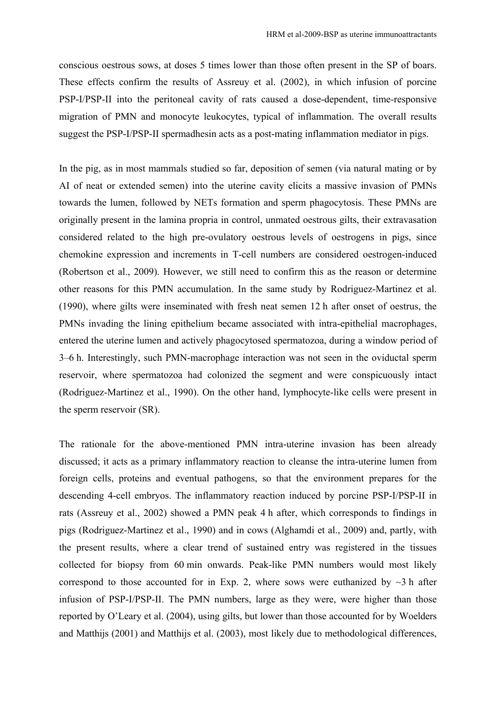conscious oestrous sows, at doses 5 times lower than those often present in the SP of boars. These effects confirm the results of Assreuy et al. (2002), in which infusion of porcine PSP-I/PSP-II into the peritoneal cavity of rats caused a dose-dependent, time-responsive migration of PMN and monocyte leukocytes, typical of inflammation. The overall results suggest the PSP-I/PSP-II spermadhesin acts as a post-mating inflammation mediator in pigs.

In the pig, as in most mammals studied so far, deposition of semen (via natural mating or by AI of neat or extended semen) into the uterine cavity elicits a massive invasion of PMNs towards the lumen, followed by NETs formation and sperm phagocytosis. These PMNs are originally present in the lamina propria in control, unmated oestrous gilts, their extravasation considered related to the high pre-ovulatory oestrous levels of oestrogens in pigs, since chemokine expression and increments in T-cell numbers are considered oestrogen-induced (Robertson et al., 2009). However, we still need to confirm this as the reason or determine other reasons for this PMN accumulation. In the same study by Rodriguez-Martinez et al. (1990), where gilts were inseminated with fresh neat semen 12 h after onset of oestrus, the PMNs invading the lining epithelium became associated with intra-epithelial macrophages, entered the uterine lumen and actively phagocytosed spermatozoa, during a window period of 3–6 h. Interestingly, such PMN-macrophage interaction was not seen in the oviductal sperm reservoir, where spermatozoa had colonized the segment and were conspicuously intact (Rodriguez-Martinez et al., 1990). On the other hand, lymphocyte-like cells were present in the sperm reservoir (SR).

The rationale for the above-mentioned PMN intra-uterine invasion has been already discussed; it acts as a primary inflammatory reaction to cleanse the intra-uterine lumen from foreign cells, proteins and eventual pathogens, so that the environment prepares for the descending 4-cell embryos. The inflammatory reaction induced by porcine PSP-I/PSP-II in rats (Assreuy et al., 2002) showed a PMN peak 4 h after, which corresponds to findings in pigs (Rodriguez-Martinez et al., 1990) and in cows (Alghamdi et al., 2009) and, partly, with the present results, where a clear trend of sustained entry was registered in the tissues collected for biopsy from 60 min onwards. Peak-like PMN numbers would most likely correspond to those accounted for in Exp. 2, where sows were euthanized by  $\sim$ 3 h after infusion of PSP-I/PSP-II. The PMN numbers, large as they were, were higher than those reported by O'Leary et al. (2004), using gilts, but lower than those accounted for by Woelders and Matthijs (2001) and Matthijs et al. (2003), most likely due to methodological differences,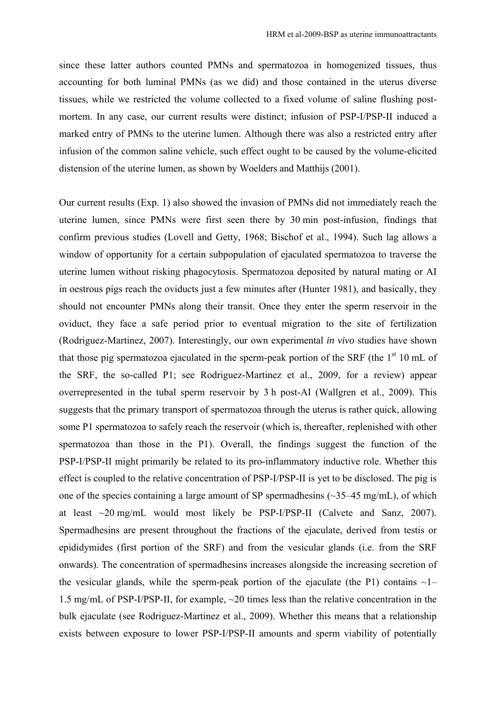since these latter authors counted PMNs and spermatozoa in homogenized tissues, thus accounting for both luminal PMNs (as we did) and those contained in the uterus diverse tissues, while we restricted the volume collected to a fixed volume of saline flushing postmortem. In any case, our current results were distinct; infusion of PSP-I/PSP-II induced a marked entry of PMNs to the uterine lumen. Although there was also a restricted entry after infusion of the common saline vehicle, such effect ought to be caused by the volume-elicited distension of the uterine lumen, as shown by Woelders and Matthijs (2001).

Our current results (Exp. 1) also showed the invasion of PMNs did not immediately reach the uterine lumen, since PMNs were first seen there by 30 min post-infusion, findings that confirm previous studies (Lovell and Getty, 1968; Bischof et al., 1994). Such lag allows a window of opportunity for a certain subpopulation of ejaculated spermatozoa to traverse the uterine lumen without risking phagocytosis. Spermatozoa deposited by natural mating or AI in oestrous pigs reach the oviducts just a few minutes after (Hunter 1981), and basically, they should not encounter PMNs along their transit. Once they enter the sperm reservoir in the oviduct, they face a safe period prior to eventual migration to the site of fertilization (Rodriguez-Martinez, 2007). Interestingly, our own experimental *in vivo* studies have shown that those pig spermatozoa ejaculated in the sperm-peak portion of the SRF (the  $1<sup>st</sup> 10$  mL of the SRF, the so-called P1; see Rodriguez-Martinez et al., 2009, for a review) appear overrepresented in the tubal sperm reservoir by 3 h post-AI (Wallgren et al., 2009). This suggests that the primary transport of spermatozoa through the uterus is rather quick, allowing some P1 spermatozoa to safely reach the reservoir (which is, thereafter, replenished with other spermatozoa than those in the P1). Overall, the findings suggest the function of the PSP-I/PSP-II might primarily be related to its pro-inflammatory inductive role. Whether this effect is coupled to the relative concentration of PSP-I/PSP-II is yet to be disclosed. The pig is one of the species containing a large amount of SP spermadhesins (~35–45 mg/mL), of which at least ~20 mg/mL would most likely be PSP-I/PSP-II (Calvete and Sanz, 2007). Spermadhesins are present throughout the fractions of the ejaculate, derived from testis or epididymides (first portion of the SRF) and from the vesicular glands (i.e. from the SRF onwards). The concentration of spermadhesins increases alongside the increasing secretion of the vesicular glands, while the sperm-peak portion of the ejaculate (the P1) contains  $\sim$ 1– 1.5 mg/mL of PSP-I/PSP-II, for example, ~20 times less than the relative concentration in the bulk ejaculate (see Rodriguez-Martinez et al., 2009). Whether this means that a relationship exists between exposure to lower PSP-I/PSP-II amounts and sperm viability of potentially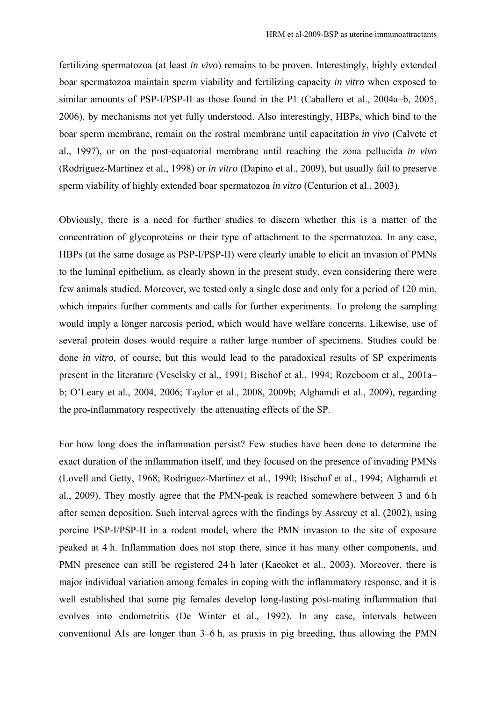fertilizing spermatozoa (at least *in vivo*) remains to be proven. Interestingly, highly extended boar spermatozoa maintain sperm viability and fertilizing capacity *in vitro* when exposed to similar amounts of PSP-I/PSP-II as those found in the P1 (Caballero et al., 2004a–b, 2005, 2006), by mechanisms not yet fully understood. Also interestingly, HBPs, which bind to the boar sperm membrane, remain on the rostral membrane until capacitation *in vivo* (Calvete et al., 1997), or on the post-equatorial membrane until reaching the zona pellucida *in vivo* (Rodriguez-Martinez et al., 1998) or *in vitro* (Dapino et al., 2009), but usually fail to preserve sperm viability of highly extended boar spermatozoa *in vitro* (Centurion et al., 2003).

Obviously, there is a need for further studies to discern whether this is a matter of the concentration of glycoproteins or their type of attachment to the spermatozoa. In any case, HBPs (at the same dosage as PSP-I/PSP-II) were clearly unable to elicit an invasion of PMNs to the luminal epithelium, as clearly shown in the present study, even considering there were few animals studied. Moreover, we tested only a single dose and only for a period of 120 min, which impairs further comments and calls for further experiments. To prolong the sampling would imply a longer narcosis period, which would have welfare concerns. Likewise, use of several protein doses would require a rather large number of specimens. Studies could be done *in vitro*, of course, but this would lead to the paradoxical results of SP experiments present in the literature (Veselsky et al., 1991; Bischof et al., 1994; Rozeboom et al., 2001a– b; O'Leary et al., 2004, 2006; Taylor et al., 2008, 2009b; Alghamdi et al., 2009), regarding the pro-inflammatory respectively the attenuating effects of the SP.

For how long does the inflammation persist? Few studies have been done to determine the exact duration of the inflammation itself, and they focused on the presence of invading PMNs (Lovell and Getty, 1968; Rodriguez-Martinez et al., 1990; Bischof et al., 1994; Alghamdi et al., 2009). They mostly agree that the PMN-peak is reached somewhere between 3 and 6 h after semen deposition. Such interval agrees with the findings by Assreuy et al. (2002), using porcine PSP-I/PSP-II in a rodent model, where the PMN invasion to the site of exposure peaked at 4 h. Inflammation does not stop there, since it has many other components, and PMN presence can still be registered 24 h later (Kaeoket et al., 2003). Moreover, there is major individual variation among females in coping with the inflammatory response, and it is well established that some pig females develop long-lasting post-mating inflammation that evolves into endometritis (De Winter et al., 1992). In any case, intervals between conventional AIs are longer than 3–6 h, as praxis in pig breeding, thus allowing the PMN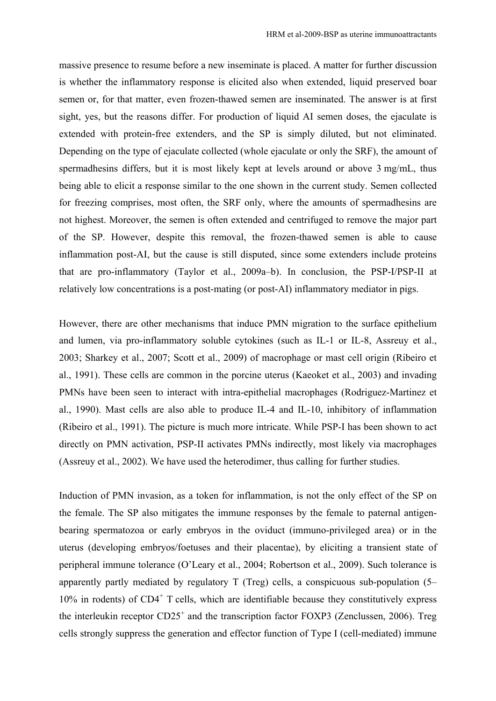massive presence to resume before a new inseminate is placed. A matter for further discussion is whether the inflammatory response is elicited also when extended, liquid preserved boar semen or, for that matter, even frozen-thawed semen are inseminated. The answer is at first sight, yes, but the reasons differ. For production of liquid AI semen doses, the ejaculate is extended with protein-free extenders, and the SP is simply diluted, but not eliminated. Depending on the type of ejaculate collected (whole ejaculate or only the SRF), the amount of spermadhesins differs, but it is most likely kept at levels around or above 3 mg/mL, thus being able to elicit a response similar to the one shown in the current study. Semen collected for freezing comprises, most often, the SRF only, where the amounts of spermadhesins are not highest. Moreover, the semen is often extended and centrifuged to remove the major part of the SP. However, despite this removal, the frozen-thawed semen is able to cause inflammation post-AI, but the cause is still disputed, since some extenders include proteins that are pro-inflammatory (Taylor et al., 2009a–b). In conclusion, the PSP-I/PSP-II at relatively low concentrations is a post-mating (or post-AI) inflammatory mediator in pigs.

However, there are other mechanisms that induce PMN migration to the surface epithelium and lumen, via pro-inflammatory soluble cytokines (such as IL-1 or IL-8, Assreuy et al., 2003; Sharkey et al., 2007; Scott et al., 2009) of macrophage or mast cell origin (Ribeiro et al., 1991). These cells are common in the porcine uterus (Kaeoket et al., 2003) and invading PMNs have been seen to interact with intra-epithelial macrophages (Rodriguez-Martinez et al., 1990). Mast cells are also able to produce IL-4 and IL-10, inhibitory of inflammation (Ribeiro et al., 1991). The picture is much more intricate. While PSP-I has been shown to act directly on PMN activation, PSP-II activates PMNs indirectly, most likely via macrophages (Assreuy et al., 2002). We have used the heterodimer, thus calling for further studies.

Induction of PMN invasion, as a token for inflammation, is not the only effect of the SP on the female. The SP also mitigates the immune responses by the female to paternal antigenbearing spermatozoa or early embryos in the oviduct (immuno-privileged area) or in the uterus (developing embryos/foetuses and their placentae), by eliciting a transient state of peripheral immune tolerance (O'Leary et al., 2004; Robertson et al., 2009). Such tolerance is apparently partly mediated by regulatory T (Treg) cells, a conspicuous sub-population (5–  $10\%$  in rodents) of CD4<sup>+</sup> T cells, which are identifiable because they constitutively express the interleukin receptor CD25<sup>+</sup> and the transcription factor FOXP3 (Zenclussen, 2006). Treg cells strongly suppress the generation and effector function of Type I (cell-mediated) immune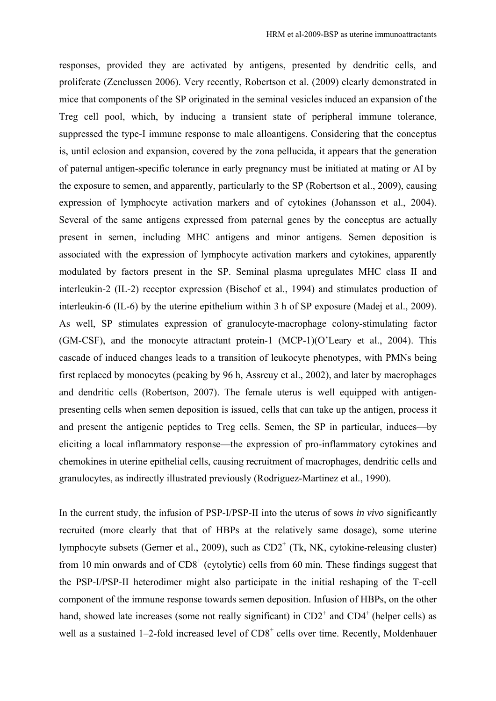responses, provided they are activated by antigens, presented by dendritic cells, and proliferate (Zenclussen 2006). Very recently, Robertson et al. (2009) clearly demonstrated in mice that components of the SP originated in the seminal vesicles induced an expansion of the Treg cell pool, which, by inducing a transient state of peripheral immune tolerance, suppressed the type-I immune response to male alloantigens. Considering that the conceptus is, until eclosion and expansion, covered by the zona pellucida, it appears that the generation of paternal antigen-specific tolerance in early pregnancy must be initiated at mating or AI by the exposure to semen, and apparently, particularly to the SP (Robertson et al., 2009), causing expression of lymphocyte activation markers and of cytokines (Johansson et al., 2004). Several of the same antigens expressed from paternal genes by the conceptus are actually present in semen, including MHC antigens and minor antigens. Semen deposition is associated with the expression of lymphocyte activation markers and cytokines, apparently modulated by factors present in the SP. Seminal plasma upregulates MHC class II and interleukin-2 (IL-2) receptor expression (Bischof et al., 1994) and stimulates production of interleukin-6 (IL-6) by the uterine epithelium within 3 h of SP exposure (Madej et al., 2009). As well, SP stimulates expression of granulocyte-macrophage colony-stimulating factor (GM-CSF), and the monocyte attractant protein-1 (MCP-1)(O'Leary et al., 2004). This cascade of induced changes leads to a transition of leukocyte phenotypes, with PMNs being first replaced by monocytes (peaking by 96 h, Assreuy et al., 2002), and later by macrophages and dendritic cells (Robertson, 2007). The female uterus is well equipped with antigenpresenting cells when semen deposition is issued, cells that can take up the antigen, process it and present the antigenic peptides to Treg cells. Semen, the SP in particular, induces—by eliciting a local inflammatory response—the expression of pro-inflammatory cytokines and chemokines in uterine epithelial cells, causing recruitment of macrophages, dendritic cells and granulocytes, as indirectly illustrated previously (Rodriguez-Martinez et al., 1990).

In the current study, the infusion of PSP-I/PSP-II into the uterus of sows *in vivo* significantly recruited (more clearly that that of HBPs at the relatively same dosage), some uterine lymphocyte subsets (Gerner et al., 2009), such as  $CD2<sup>+</sup>$  (Tk, NK, cytokine-releasing cluster) from 10 min onwards and of  $CDS<sup>+</sup>$  (cytolytic) cells from 60 min. These findings suggest that the PSP-I/PSP-II heterodimer might also participate in the initial reshaping of the T-cell component of the immune response towards semen deposition. Infusion of HBPs, on the other hand, showed late increases (some not really significant) in  $CD2^+$  and  $CD4^+$  (helper cells) as well as a sustained 1–2-fold increased level of  $CD8<sup>+</sup>$  cells over time. Recently, Moldenhauer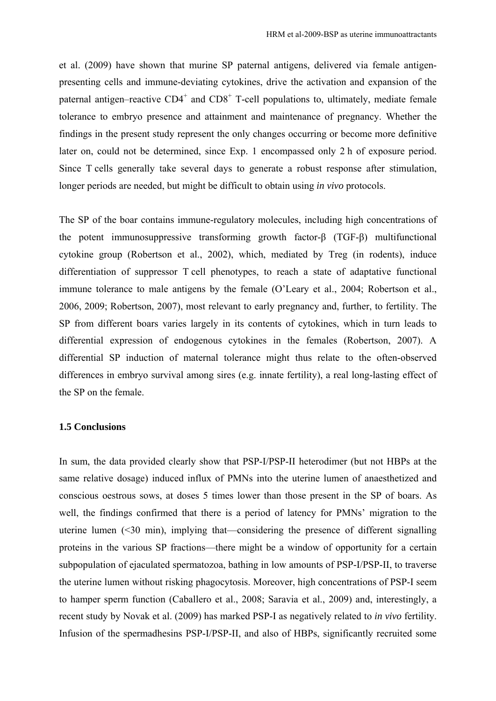et al. (2009) have shown that murine SP paternal antigens, delivered via female antigenpresenting cells and immune-deviating cytokines, drive the activation and expansion of the paternal antigen–reactive  $CD4^+$  and  $CD8^+$  T-cell populations to, ultimately, mediate female tolerance to embryo presence and attainment and maintenance of pregnancy. Whether the findings in the present study represent the only changes occurring or become more definitive later on, could not be determined, since Exp. 1 encompassed only 2 h of exposure period. Since T cells generally take several days to generate a robust response after stimulation, longer periods are needed, but might be difficult to obtain using *in vivo* protocols.

The SP of the boar contains immune-regulatory molecules, including high concentrations of the potent immunosuppressive transforming growth factor-β (TGF-β) multifunctional cytokine group (Robertson et al., 2002), which, mediated by Treg (in rodents), induce differentiation of suppressor T cell phenotypes, to reach a state of adaptative functional immune tolerance to male antigens by the female (O'Leary et al., 2004; Robertson et al., 2006, 2009; Robertson, 2007), most relevant to early pregnancy and, further, to fertility. The SP from different boars varies largely in its contents of cytokines, which in turn leads to differential expression of endogenous cytokines in the females (Robertson, 2007). A differential SP induction of maternal tolerance might thus relate to the often-observed differences in embryo survival among sires (e.g. innate fertility), a real long-lasting effect of the SP on the female.

### **1.5 Conclusions**

In sum, the data provided clearly show that PSP-I/PSP-II heterodimer (but not HBPs at the same relative dosage) induced influx of PMNs into the uterine lumen of anaesthetized and conscious oestrous sows, at doses 5 times lower than those present in the SP of boars. As well, the findings confirmed that there is a period of latency for PMNs' migration to the uterine lumen (<30 min), implying that—considering the presence of different signalling proteins in the various SP fractions—there might be a window of opportunity for a certain subpopulation of ejaculated spermatozoa, bathing in low amounts of PSP-I/PSP-II, to traverse the uterine lumen without risking phagocytosis. Moreover, high concentrations of PSP-I seem to hamper sperm function (Caballero et al., 2008; Saravia et al., 2009) and, interestingly, a recent study by Novak et al. (2009) has marked PSP-I as negatively related to *in vivo* fertility. Infusion of the spermadhesins PSP-I/PSP-II, and also of HBPs, significantly recruited some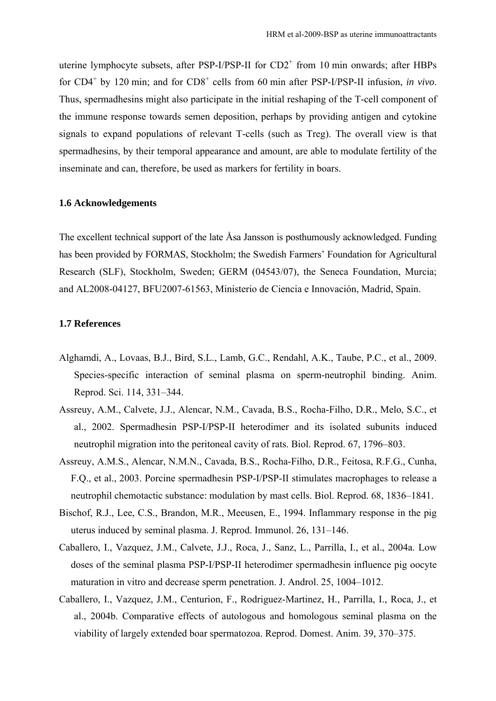uterine lymphocyte subsets, after PSP-I/PSP-II for  $CD2^+$  from 10 min onwards; after HBPs for CD4<sup>+</sup> by 120 min; and for CD8<sup>+</sup> cells from 60 min after PSP-I/PSP-II infusion, *in vivo*. Thus, spermadhesins might also participate in the initial reshaping of the T-cell component of the immune response towards semen deposition, perhaps by providing antigen and cytokine signals to expand populations of relevant T-cells (such as Treg). The overall view is that spermadhesins, by their temporal appearance and amount, are able to modulate fertility of the inseminate and can, therefore, be used as markers for fertility in boars.

#### **1.6 Acknowledgements**

The excellent technical support of the late Åsa Jansson is posthumously acknowledged. Funding has been provided by FORMAS, Stockholm; the Swedish Farmers' Foundation for Agricultural Research (SLF), Stockholm, Sweden; GERM (04543/07), the Seneca Foundation, Murcia; and AL2008-04127, BFU2007-61563, Ministerio de Ciencia e Innovación, Madrid, Spain.

# **1.7 References**

- Alghamdi, A., Lovaas, B.J., Bird, S.L., Lamb, G.C., Rendahl, A.K., Taube, P.C., et al., 2009. Species-specific interaction of seminal plasma on sperm-neutrophil binding. Anim. Reprod. Sci. 114, 331–344.
- Assreuy, A.M., Calvete, J.J., Alencar, N.M., Cavada, B.S., Rocha-Filho, D.R., Melo, S.C., et al., 2002. Spermadhesin PSP-I/PSP-II heterodimer and its isolated subunits induced neutrophil migration into the peritoneal cavity of rats. Biol. Reprod. 67, 1796–803.
- Assreuy, A.M.S., Alencar, N.M.N., Cavada, B.S., Rocha-Filho, D.R., Feitosa, R.F.G., Cunha, F.Q., et al., 2003. Porcine spermadhesin PSP-I/PSP-II stimulates macrophages to release a neutrophil chemotactic substance: modulation by mast cells. Biol. Reprod. 68, 1836–1841.
- Bischof, R.J., Lee, C.S., Brandon, M.R., Meeusen, E., 1994. Inflammary response in the pig uterus induced by seminal plasma. J. Reprod. Immunol. 26, 131–146.
- Caballero, I., Vazquez, J.M., Calvete, J.J., Roca, J., Sanz, L., Parrilla, I., et al., 2004a. Low doses of the seminal plasma PSP-I/PSP-II heterodimer spermadhesin influence pig oocyte maturation in vitro and decrease sperm penetration. J. Androl. 25, 1004–1012.
- Caballero, I., Vazquez, J.M., Centurion, F., Rodriguez-Martinez, H., Parrilla, I., Roca, J., et al., 2004b. Comparative effects of autologous and homologous seminal plasma on the viability of largely extended boar spermatozoa. Reprod. Domest. Anim. 39, 370–375.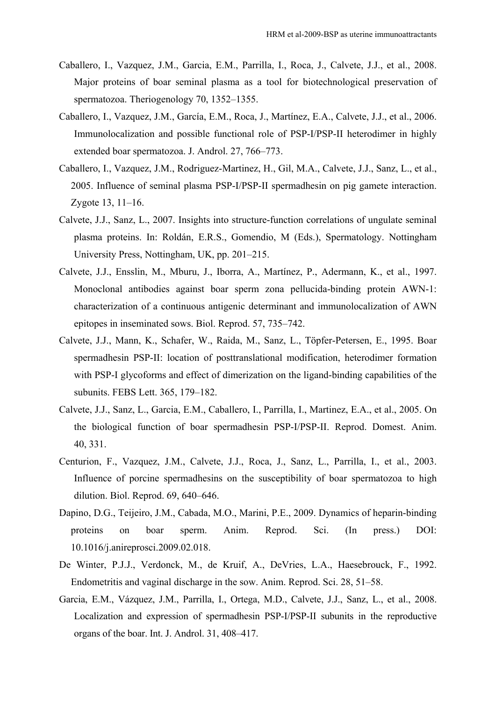- Caballero, I., Vazquez, J.M., Garcia, E.M., Parrilla, I., Roca, J., Calvete, J.J., et al., 2008. Major proteins of boar seminal plasma as a tool for biotechnological preservation of spermatozoa. Theriogenology 70, 1352–1355.
- Caballero, I., Vazquez, J.M., García, E.M., Roca, J., Martínez, E.A., Calvete, J.J., et al., 2006. Immunolocalization and possible functional role of PSP-I/PSP-II heterodimer in highly extended boar spermatozoa. J. Androl. 27, 766–773.
- Caballero, I., Vazquez, J.M., Rodriguez-Martinez, H., Gil, M.A., Calvete, J.J., Sanz, L., et al., 2005. Influence of seminal plasma PSP-I/PSP-II spermadhesin on pig gamete interaction. Zygote 13, 11–16.
- Calvete, J.J., Sanz, L., 2007. Insights into structure-function correlations of ungulate seminal plasma proteins. In: Roldán, E.R.S., Gomendio, M (Eds.), Spermatology. Nottingham University Press, Nottingham, UK, pp. 201–215.
- Calvete, J.J., Ensslin, M., Mburu, J., Iborra, A., Martínez, P., Adermann, K., et al., 1997. Monoclonal antibodies against boar sperm zona pellucida-binding protein AWN-1: characterization of a continuous antigenic determinant and immunolocalization of AWN epitopes in inseminated sows. Biol. Reprod. 57, 735–742.
- Calvete, J.J., Mann, K., Schafer, W., Raida, M., Sanz, L., Töpfer-Petersen, E., 1995. Boar spermadhesin PSP-II: location of posttranslational modification, heterodimer formation with PSP-I glycoforms and effect of dimerization on the ligand-binding capabilities of the subunits. FEBS Lett. 365, 179–182.
- Calvete, J.J., Sanz, L., Garcia, E.M., Caballero, I., Parrilla, I., Martinez, E.A., et al., 2005. On the biological function of boar spermadhesin PSP-I/PSP-II. Reprod. Domest. Anim. 40, 331.
- Centurion, F., Vazquez, J.M., Calvete, J.J., Roca, J., Sanz, L., Parrilla, I., et al., 2003. Influence of porcine spermadhesins on the susceptibility of boar spermatozoa to high dilution. Biol. Reprod. 69, 640–646.
- Dapino, D.G., Teijeiro, J.M., Cabada, M.O., Marini, P.E., 2009. Dynamics of heparin-binding proteins on boar sperm. Anim. Reprod. Sci. (In press.) DOI: 10.1016/j.anireprosci.2009.02.018.
- De Winter, P.J.J., Verdonck, M., de Kruif, A., DeVries, L.A., Haesebrouck, F., 1992. Endometritis and vaginal discharge in the sow. Anim. Reprod. Sci. 28, 51–58.
- Garcia, E.M., Vázquez, J.M., Parrilla, I., Ortega, M.D., Calvete, J.J., Sanz, L., et al., 2008. Localization and expression of spermadhesin PSP-I/PSP-II subunits in the reproductive organs of the boar. Int. J. Androl. 31, 408–417.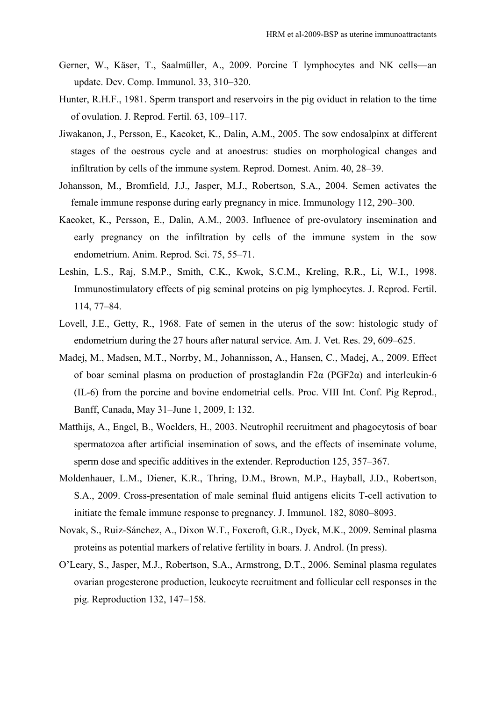- Gerner, W., Käser, T., Saalmüller, A., 2009. Porcine T lymphocytes and NK cells—an update. Dev. Comp. Immunol. 33, 310–320.
- Hunter, R.H.F., 1981. Sperm transport and reservoirs in the pig oviduct in relation to the time of ovulation. J. Reprod. Fertil. 63, 109–117.
- Jiwakanon, J., Persson, E., Kaeoket, K., Dalin, A.M., 2005. The sow endosalpinx at different stages of the oestrous cycle and at anoestrus: studies on morphological changes and infiltration by cells of the immune system. Reprod. Domest. Anim. 40, 28–39.
- Johansson, M., Bromfield, J.J., Jasper, M.J., Robertson, S.A., 2004. Semen activates the female immune response during early pregnancy in mice. Immunology 112, 290–300.
- Kaeoket, K., Persson, E., Dalin, A.M., 2003. Influence of pre-ovulatory insemination and early pregnancy on the infiltration by cells of the immune system in the sow endometrium. Anim. Reprod. Sci. 75, 55–71.
- Leshin, L.S., Raj, S.M.P., Smith, C.K., Kwok, S.C.M., Kreling, R.R., Li, W.I., 1998. Immunostimulatory effects of pig seminal proteins on pig lymphocytes. J. Reprod. Fertil. 114, 77–84.
- Lovell, J.E., Getty, R., 1968. Fate of semen in the uterus of the sow: histologic study of endometrium during the 27 hours after natural service. Am. J. Vet. Res. 29, 609–625.
- Madej, M., Madsen, M.T., Norrby, M., Johannisson, A., Hansen, C., Madej, A., 2009. Effect of boar seminal plasma on production of prostaglandin F2α (PGF2α) and interleukin-6 (IL-6) from the porcine and bovine endometrial cells. Proc. VIII Int. Conf. Pig Reprod., Banff, Canada, May 31–June 1, 2009, I: 132.
- Matthijs, A., Engel, B., Woelders, H., 2003. Neutrophil recruitment and phagocytosis of boar spermatozoa after artificial insemination of sows, and the effects of inseminate volume, sperm dose and specific additives in the extender. Reproduction 125, 357–367.
- Moldenhauer, L.M., Diener, K.R., Thring, D.M., Brown, M.P., Hayball, J.D., Robertson, S.A., 2009. Cross-presentation of male seminal fluid antigens elicits T-cell activation to initiate the female immune response to pregnancy. J. Immunol. 182, 8080–8093.
- Novak, S., Ruiz-Sánchez, A., Dixon W.T., Foxcroft, G.R., Dyck, M.K., 2009. Seminal plasma proteins as potential markers of relative fertility in boars. J. Androl. (In press).
- O'Leary, S., Jasper, M.J., Robertson, S.A., Armstrong, D.T., 2006. Seminal plasma regulates ovarian progesterone production, leukocyte recruitment and follicular cell responses in the pig. Reproduction 132, 147–158.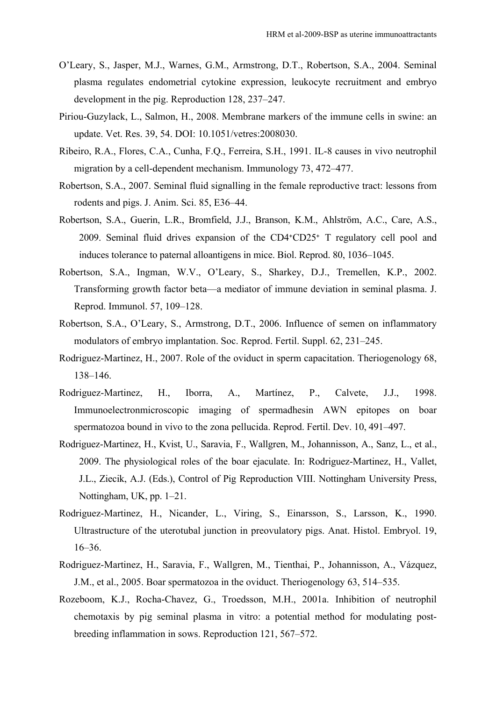- O'Leary, S., Jasper, M.J., Warnes, G.M., Armstrong, D.T., Robertson, S.A., 2004. Seminal plasma regulates endometrial cytokine expression, leukocyte recruitment and embryo development in the pig. Reproduction 128, 237–247.
- Piriou-Guzylack, L., Salmon, H., 2008. Membrane markers of the immune cells in swine: an update. Vet. Res. 39, 54. DOI: 10.1051/vetres:2008030.
- Ribeiro, R.A., Flores, C.A., Cunha, F.Q., Ferreira, S.H., 1991. IL-8 causes in vivo neutrophil migration by a cell-dependent mechanism. Immunology 73, 472–477.
- Robertson, S.A., 2007. Seminal fluid signalling in the female reproductive tract: lessons from rodents and pigs. J. Anim. Sci. 85, E36–44.
- Robertson, S.A., Guerin, L.R., Bromfield, J.J., Branson, K.M., Ahlström, A.C., Care, A.S., 2009. Seminal fluid drives expansion of the CD4+CD25+ T regulatory cell pool and induces tolerance to paternal alloantigens in mice. Biol. Reprod. 80, 1036–1045.
- Robertson, S.A., Ingman, W.V., O'Leary, S., Sharkey, D.J., Tremellen, K.P., 2002. Transforming growth factor beta—a mediator of immune deviation in seminal plasma. J. Reprod. Immunol. 57, 109–128.
- Robertson, S.A., O'Leary, S., Armstrong, D.T., 2006. Influence of semen on inflammatory modulators of embryo implantation. Soc. Reprod. Fertil. Suppl. 62, 231–245.
- Rodriguez-Martinez, H., 2007. Role of the oviduct in sperm capacitation. Theriogenology 68, 138–146.
- Rodriguez-Martinez, H., Iborra, A., Martínez, P., Calvete, J.J., 1998. Immunoelectronmicroscopic imaging of spermadhesin AWN epitopes on boar spermatozoa bound in vivo to the zona pellucida. Reprod. Fertil. Dev. 10, 491–497.
- Rodriguez-Martinez, H., Kvist, U., Saravia, F., Wallgren, M., Johannisson, A., Sanz, L., et al., 2009. The physiological roles of the boar ejaculate. In: Rodriguez-Martinez, H., Vallet, J.L., Ziecik, A.J. (Eds.), Control of Pig Reproduction VIII. Nottingham University Press, Nottingham, UK, pp. 1–21.
- Rodriguez-Martinez, H., Nicander, L., Viring, S., Einarsson, S., Larsson, K., 1990. Ultrastructure of the uterotubal junction in preovulatory pigs. Anat. Histol. Embryol. 19, 16–36.
- Rodriguez-Martinez, H., Saravia, F., Wallgren, M., Tienthai, P., Johannisson, A., Vázquez, J.M., et al., 2005. Boar spermatozoa in the oviduct. Theriogenology 63, 514–535.
- Rozeboom, K.J., Rocha-Chavez, G., Troedsson, M.H., 2001a. Inhibition of neutrophil chemotaxis by pig seminal plasma in vitro: a potential method for modulating postbreeding inflammation in sows. Reproduction 121, 567–572.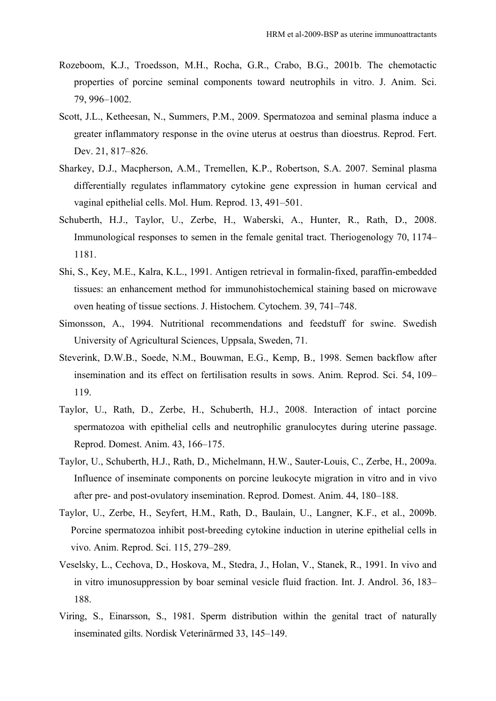- Rozeboom, K.J., Troedsson, M.H., Rocha, G.R., Crabo, B.G., 2001b. The chemotactic properties of porcine seminal components toward neutrophils in vitro. J. Anim. Sci. 79, 996–1002.
- Scott, J.L., Ketheesan, N., Summers, P.M., 2009. Spermatozoa and seminal plasma induce a greater inflammatory response in the ovine uterus at oestrus than dioestrus. Reprod. Fert. Dev. 21, 817–826.
- Sharkey, D.J., Macpherson, A.M., Tremellen, K.P., Robertson, S.A. 2007. Seminal plasma differentially regulates inflammatory cytokine gene expression in human cervical and vaginal epithelial cells. Mol. Hum. Reprod. 13, 491–501.
- Schuberth, H.J., Taylor, U., Zerbe, H., Waberski, A., Hunter, R., Rath, D., 2008. Immunological responses to semen in the female genital tract. Theriogenology 70, 1174– 1181.
- Shi, S., Key, M.E., Kalra, K.L., 1991. Antigen retrieval in formalin-fixed, paraffin-embedded tissues: an enhancement method for immunohistochemical staining based on microwave oven heating of tissue sections. J. Histochem. Cytochem. 39, 741–748.
- Simonsson, A., 1994. Nutritional recommendations and feedstuff for swine. Swedish University of Agricultural Sciences, Uppsala, Sweden, 71.
- Steverink, D.W.B., Soede, N.M., Bouwman, E.G., Kemp, B., 1998. Semen backflow after insemination and its effect on fertilisation results in sows. Anim. Reprod. Sci. 54, 109– 119.
- Taylor, U., Rath, D., Zerbe, H., Schuberth, H.J., 2008. Interaction of intact porcine spermatozoa with epithelial cells and neutrophilic granulocytes during uterine passage. Reprod. Domest. Anim. 43, 166–175.
- Taylor, U., Schuberth, H.J., Rath, D., Michelmann, H.W., Sauter-Louis, C., Zerbe, H., 2009a. Influence of inseminate components on porcine leukocyte migration in vitro and in vivo after pre- and post-ovulatory insemination. Reprod. Domest. Anim. 44, 180–188.
- Taylor, U., Zerbe, H., Seyfert, H.M., Rath, D., Baulain, U., Langner, K.F., et al., 2009b. Porcine spermatozoa inhibit post-breeding cytokine induction in uterine epithelial cells in vivo. Anim. Reprod. Sci. 115, 279–289.
- Veselsky, L., Cechova, D., Hoskova, M., Stedra, J., Holan, V., Stanek, R., 1991. In vivo and in vitro imunosuppression by boar seminal vesicle fluid fraction. Int. J. Androl. 36, 183– 188.
- Viring, S., Einarsson, S., 1981. Sperm distribution within the genital tract of naturally inseminated gilts. Nordisk Veterinärmed 33, 145–149.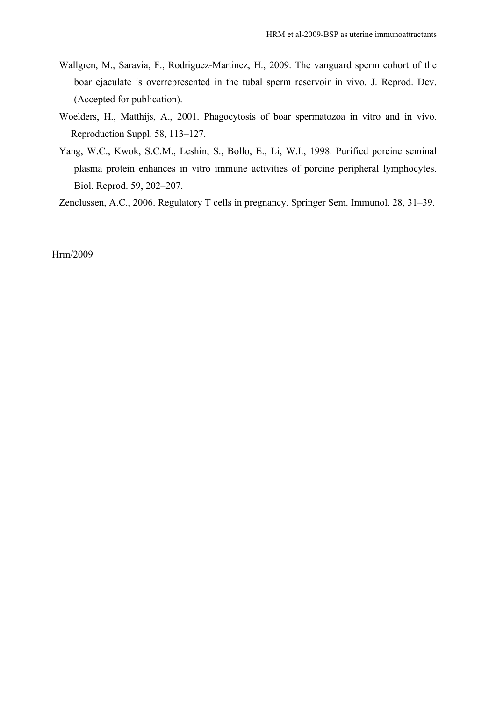- Wallgren, M., Saravia, F., Rodriguez-Martinez, H., 2009. The vanguard sperm cohort of the boar ejaculate is overrepresented in the tubal sperm reservoir in vivo. J. Reprod. Dev. (Accepted for publication).
- Woelders, H., Matthijs, A., 2001. Phagocytosis of boar spermatozoa in vitro and in vivo. Reproduction Suppl. 58, 113–127.
- Yang, W.C., Kwok, S.C.M., Leshin, S., Bollo, E., Li, W.I., 1998. Purified porcine seminal plasma protein enhances in vitro immune activities of porcine peripheral lymphocytes. Biol. Reprod. 59, 202–207.

Zenclussen, A.C., 2006. Regulatory T cells in pregnancy. Springer Sem. Immunol. 28, 31–39.

Hrm/2009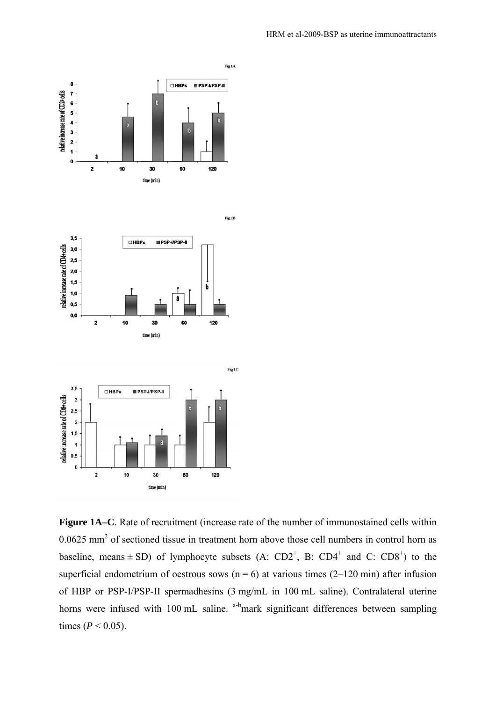

**Figure 1A–C**. Rate of recruitment (increase rate of the number of immunostained cells within  $0.0625$  mm<sup>2</sup> of sectioned tissue in treatment horn above those cell numbers in control horn as baseline, means  $\pm$  SD) of lymphocyte subsets (A: CD2<sup>+</sup>, B: CD4<sup>+</sup> and C: CD8<sup>+</sup>) to the superficial endometrium of oestrous sows ( $n = 6$ ) at various times (2–120 min) after infusion of HBP or PSP-I/PSP-II spermadhesins (3 mg/mL in 100 mL saline). Contralateral uterine horns were infused with 100 mL saline. <sup>a-b</sup>mark significant differences between sampling times ( $P < 0.05$ ).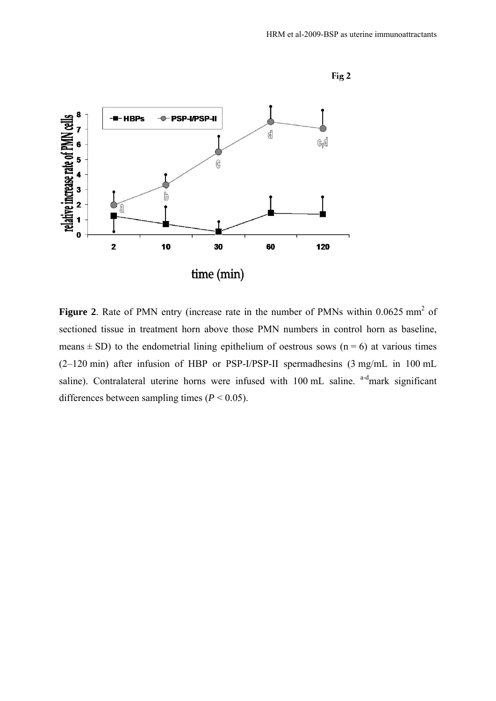

**Figure 2.** Rate of PMN entry (increase rate in the number of PMNs within 0.0625 mm<sup>2</sup> of sectioned tissue in treatment horn above those PMN numbers in control horn as baseline, means  $\pm$  SD) to the endometrial lining epithelium of oestrous sows (n = 6) at various times (2–120 min) after infusion of HBP or PSP-I/PSP-II spermadhesins (3 mg/mL in 100 mL saline). Contralateral uterine horns were infused with 100 mL saline. a-dmark significant differences between sampling times  $(P < 0.05)$ .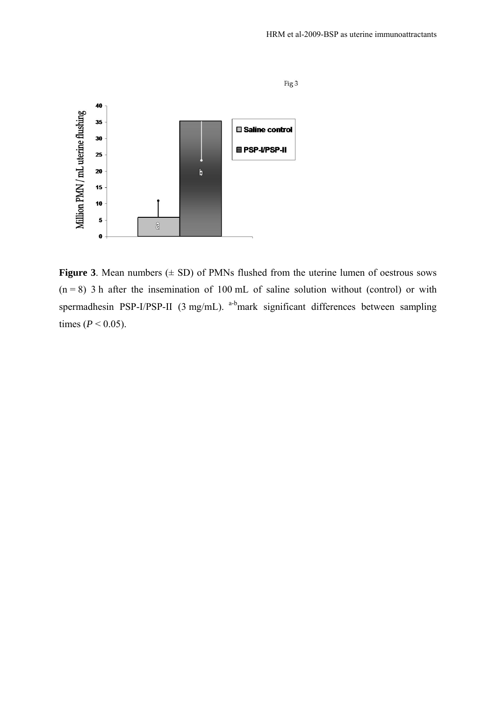

**Figure 3**. Mean numbers  $(\pm SD)$  of PMNs flushed from the uterine lumen of oestrous sows  $(n = 8)$  3 h after the insemination of 100 mL of saline solution without (control) or with spermadhesin PSP-I/PSP-II (3 mg/mL). <sup>a-b</sup>mark significant differences between sampling times ( $P < 0.05$ ).

Fig 3